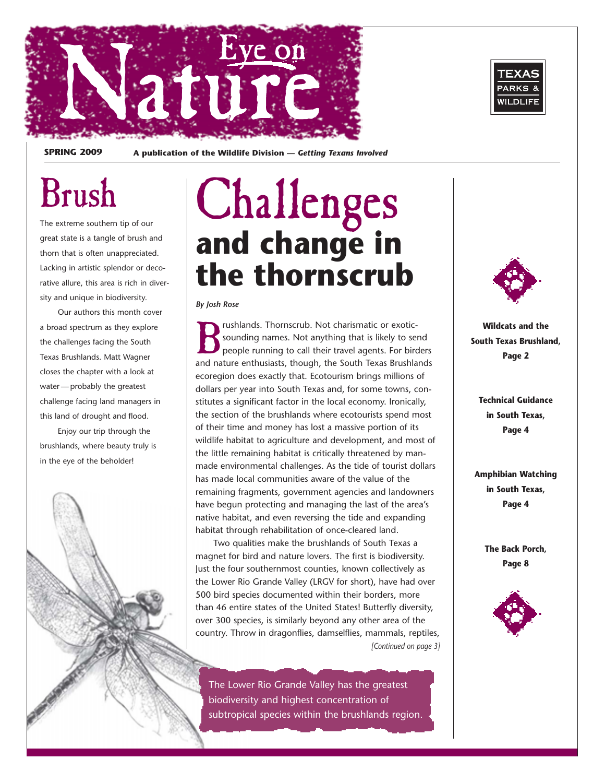

**SPRING 2009 A publication of the Wildlife Division —** *Getting Texans Involved* 

## Brush

The extreme southern tip of our great state is a tangle of brush and thorn that is often unappreciated. Lacking in artistic splendor or decorative allure, this area is rich in diversity and unique in biodiversity.

Our authors this month cover a broad spectrum as they explore the challenges facing the South Texas Brushlands. Matt Wagner closes the chapter with a look at water — probably the greatest challenge facing land managers in this land of drought and flood.

Enjoy our trip through the brushlands, where beauty truly is in the eye of the beholder!

## Challenges **and change in the thornscrub**

*By Josh Rose* 

Fushlands. Thornscrub. Not charismatic or exotic-<br>sounding names. Not anything that is likely to see<br>people running to call their travel agents. For bird<br>and nature enthusiasts, though, the South Texas Brushla sounding names. Not anything that is likely to send people running to call their travel agents. For birders and nature enthusiasts, though, the South Texas Brushlands ecoregion does exactly that. Ecotourism brings millions of dollars per year into South Texas and, for some towns, constitutes a significant factor in the local economy. Ironically, the section of the brushlands where ecotourists spend most of their time and money has lost a massive portion of its wildlife habitat to agriculture and development, and most of the little remaining habitat is critically threatened by manmade environmental challenges. As the tide of tourist dollars has made local communities aware of the value of the remaining fragments, government agencies and landowners have begun protecting and managing the last of the area's native habitat, and even reversing the tide and expanding habitat through rehabilitation of once-cleared land.

Two qualities make the brushlands of South Texas a magnet for bird and nature lovers. The first is biodiversity. Just the four southernmost counties, known collectively as the Lower Rio Grande Valley (LRGV for short), have had over 500 bird species documented within their borders, more than 46 entire states of the United States! Butterfly diversity, over 300 species, is similarly beyond any other area of the country. Throw in dragonflies, damselflies, mammals, reptiles, *[Continued on page 3]* 

The Lower Rio Grande Valley has the greatest biodiversity and highest concentration of subtropical species within the brushlands region.



**Wildcats and the South Texas Brushland, Page 2** 

> **Technical Guidance in South Texas, Page 4**

**Amphibian Watching in South Texas, Page 4** 

> **The Back Porch, Page 8**



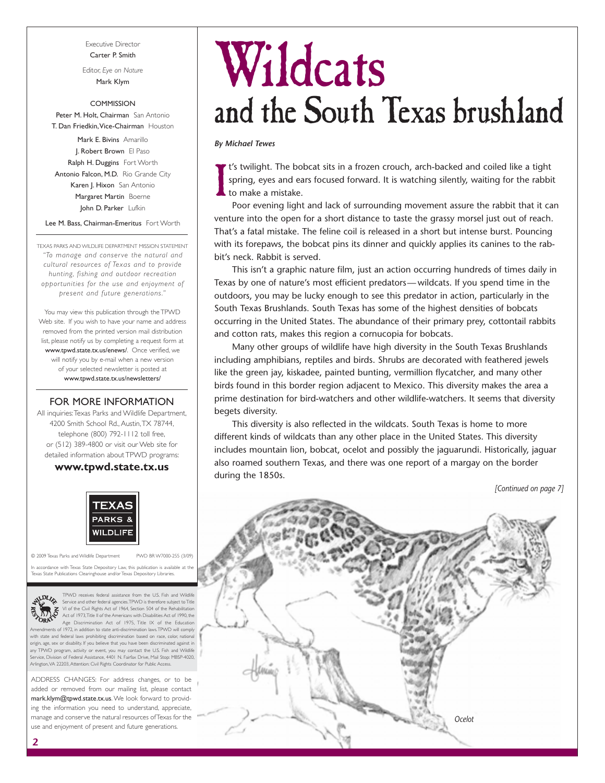Executive Director Carter P. Smith

Editor, *Eye on Nature*  Mark Klym

#### **COMMISSION**

Peter M. Holt, Chairman San Antonio T. Dan Friedkin, Vice-Chairman Houston

Mark E. Bivins Amarillo J. Robert Brown El Paso Ralph H. Duggins Fort Worth Antonio Falcon, M.D. Rio Grande City Karen J. Hixon San Antonio Margaret Martin Boerne John D. Parker Lufkin

Lee M. Bass, Chairman-Emeritus Fort Worth

TEXAS PARKS AND WILDLIFE DEPARTMENT MISSION STATEMENT *"To manage and conser ve the natural and cultural resources of Texas and to provide hunting, fishing and outdoor recreation opportunities for the use and enjoyment of present and future generations."* 

You may view this publication through the TPWD Web site. If you wish to have your name and address removed from the printed version mail distribution list, please notify us by completing a request form at www.tpwd.state.tx.us/enews/. Once verified, we will notify you by e-mail when a new version of your selected newsletter is posted at www.tpwd.state.tx.us/newsletters/

#### FOR MORE INFORMATION

 4200 Smith School Rd., Austin,TX 78744, All inquiries:Texas Parks and Wildlife Department, telephone (800) 792-1112 toll free, or (512) 389-4800 or visit our Web site for detailed information about TPWD programs:

#### **www.tpwd.state.tx.us**



© 2009 Texas Parks and Wildlife Department PWD BR W7000-255 (3/09)

rdance with Texas State Depository Law, this publication is available at Texas State Publications Clearinghouse and/or Texas Depository Libraries.



TPWD receives federal assistance from the U.S. Fish and Wildlife Service and other federal agencies.TPWD is therefore subject to Title VI of the Civil Rights Act of 1964, Section 504 of the Rehabilitation Act of 1973,Title II of the Americans with Disabilities Act of 1990, the

 Arlington,VA 22203, Attention: Civil Rights Coordinator for Public Access. Age Discrimination Act of 1975, Title IX of the Education Amendments of 1972, in addition to state anti-discrimination laws.TPWD will comply and federal laws prohibiting discrimination based on race, color, national in, age, sex or disability. If you believe that you have been discriminated against in .<br>any TPWD program, activity or event, you may contact the U.S. Fish and Wildlife<br>Service, Division of Federal Assistance, 4401 N. Fairfax Drive, Mail Stop: MBSP-4020, of Federal Assistance, 4401 N. Fairfax Drive, Mail Stop: MBSP-4020,

ADDRESS CHANGES: For address changes, or to be added or removed from our mailing list, please contact mark.klym@tpwd.state.tx.us. We look forward to providing the information you need to understand, appreciate, manage and conserve the natural resources of Texas for the use and enjoyment of present and future generations.

# Wildcats and the South Texas brushland

#### *By Michael Tewes*

I t's twilight. The bobcat sits in a frozen crouch, arch-backed and coiled like a tight spring, eyes and ears focused forward. It is watching silently, waiting for the rabbit to make a mistake.

Poor evening light and lack of surrounding movement assure the rabbit that it can venture into the open for a short distance to taste the grassy morsel just out of reach. That's a fatal mistake. The feline coil is released in a short but intense burst. Pouncing with its forepaws, the bobcat pins its dinner and quickly applies its canines to the rabbit's neck. Rabbit is served.

This isn't a graphic nature film, just an action occurring hundreds of times daily in Texas by one of nature's most efficient predators— wildcats. If you spend time in the outdoors, you may be lucky enough to see this predator in action, particularly in the South Texas Brushlands. South Texas has some of the highest densities of bobcats occurring in the United States. The abundance of their primary prey, cottontail rabbits and cotton rats, makes this region a cornucopia for bobcats.

Many other groups of wildlife have high diversity in the South Texas Brushlands including amphibians, reptiles and birds. Shrubs are decorated with feathered jewels like the green jay, kiskadee, painted bunting, vermillion flycatcher, and many other birds found in this border region adjacent to Mexico. This diversity makes the area a prime destination for bird-watchers and other wildlife-watchers. It seems that diversity begets diversity.

This diversity is also reflected in the wildcats. South Texas is home to more different kinds of wildcats than any other place in the United States. This diversity includes mountain lion, bobcat, ocelot and possibly the jaguarundi. Historically, jaguar also roamed southern Texas, and there was one report of a margay on the border during the 1850s.

*[Continued on page 7]* 

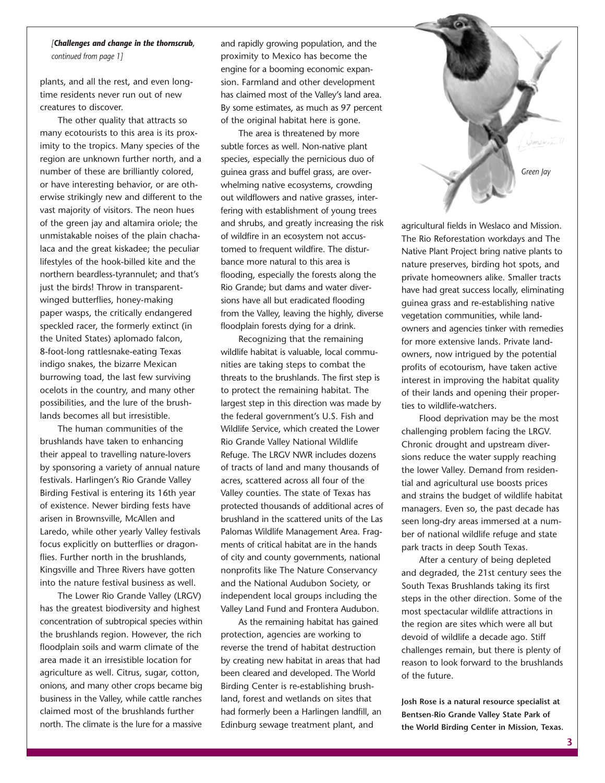#### *[Challenges and change in the thornscrub, continued from page 1]*

plants, and all the rest, and even longtime residents never run out of new creatures to discover.

The other quality that attracts so many ecotourists to this area is its proximity to the tropics. Many species of the region are unknown further north, and a number of these are brilliantly colored, or have interesting behavior, or are otherwise strikingly new and different to the vast majority of visitors. The neon hues of the green jay and altamira oriole; the unmistakable noises of the plain chachalaca and the great kiskadee; the peculiar lifestyles of the hook-billed kite and the northern beardless-tyrannulet; and that's just the birds! Throw in transparentwinged butterflies, honey-making paper wasps, the critically endangered speckled racer, the formerly extinct (in the United States) aplomado falcon, 8-foot-long rattlesnake-eating Texas indigo snakes, the bizarre Mexican burrowing toad, the last few surviving ocelots in the country, and many other possibilities, and the lure of the brushlands becomes all but irresistible.

The human communities of the brushlands have taken to enhancing their appeal to travelling nature-lovers by sponsoring a variety of annual nature festivals. Harlingen's Rio Grande Valley Birding Festival is entering its 16th year of existence. Newer birding fests have arisen in Brownsville, McAllen and Laredo, while other yearly Valley festivals focus explicitly on butterflies or dragonflies. Further north in the brushlands, Kingsville and Three Rivers have gotten into the nature festival business as well.

The Lower Rio Grande Valley (LRGV) has the greatest biodiversity and highest concentration of subtropical species within the brushlands region. However, the rich floodplain soils and warm climate of the area made it an irresistible location for agriculture as well. Citrus, sugar, cotton, onions, and many other crops became big business in the Valley, while cattle ranches claimed most of the brushlands further north. The climate is the lure for a massive and rapidly growing population, and the proximity to Mexico has become the engine for a booming economic expansion. Farmland and other development has claimed most of the Valley's land area. By some estimates, as much as 97 percent of the original habitat here is gone.

The area is threatened by more subtle forces as well. Non-native plant species, especially the pernicious duo of guinea grass and buffel grass, are overwhelming native ecosystems, crowding out wildflowers and native grasses, interfering with establishment of young trees and shrubs, and greatly increasing the risk of wildfire in an ecosystem not accustomed to frequent wildfire. The disturbance more natural to this area is flooding, especially the forests along the Rio Grande; but dams and water diversions have all but eradicated flooding from the Valley, leaving the highly, diverse floodplain forests dying for a drink.

Recognizing that the remaining wildlife habitat is valuable, local communities are taking steps to combat the threats to the brushlands. The first step is to protect the remaining habitat. The largest step in this direction was made by the federal government's U.S. Fish and Wildlife Service, which created the Lower Rio Grande Valley National Wildlife Refuge. The LRGV NWR includes dozens of tracts of land and many thousands of acres, scattered across all four of the Valley counties. The state of Texas has protected thousands of additional acres of brushland in the scattered units of the Las Palomas Wildlife Management Area. Fragments of critical habitat are in the hands of city and county governments, national nonprofits like The Nature Conservancy and the National Audubon Society, or independent local groups including the Valley Land Fund and Frontera Audubon.

As the remaining habitat has gained protection, agencies are working to reverse the trend of habitat destruction by creating new habitat in areas that had been cleared and developed. The World Birding Center is re-establishing brushland, forest and wetlands on sites that had formerly been a Harlingen landfill, an Edinburg sewage treatment plant, and



agricultural fields in Weslaco and Mission. The Rio Reforestation workdays and The Native Plant Project bring native plants to nature preserves, birding hot spots, and private homeowners alike. Smaller tracts have had great success locally, eliminating guinea grass and re-establishing native vegetation communities, while landowners and agencies tinker with remedies for more extensive lands. Private landowners, now intrigued by the potential profits of ecotourism, have taken active interest in improving the habitat quality of their lands and opening their properties to wildlife-watchers.

Flood deprivation may be the most challenging problem facing the LRGV. Chronic drought and upstream diversions reduce the water supply reaching the lower Valley. Demand from residential and agricultural use boosts prices and strains the budget of wildlife habitat managers. Even so, the past decade has seen long-dry areas immersed at a number of national wildlife refuge and state park tracts in deep South Texas.

After a century of being depleted and degraded, the 21st century sees the South Texas Brushlands taking its first steps in the other direction. Some of the most spectacular wildlife attractions in the region are sites which were all but devoid of wildlife a decade ago. Stiff challenges remain, but there is plenty of reason to look forward to the brushlands of the future.

**Josh Rose is a natural resource specialist at Bentsen-Rio Grande Valley State Park of the World Birding Center in Mission, Texas.**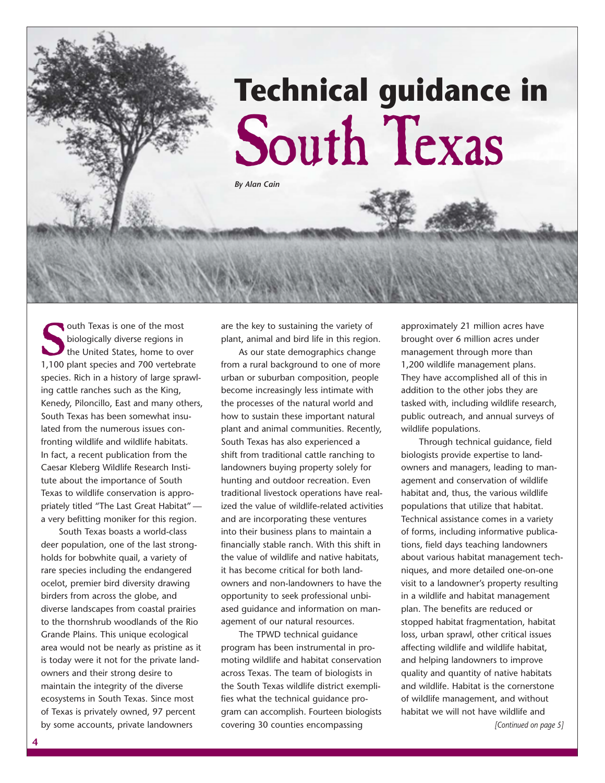

outh Texas is one of the most biologically diverse regions in the United States, home to over 1,100 plant species and 700 vertebrate species. Rich in a history of large sprawling cattle ranches such as the King, Kenedy, Piloncillo, East and many others, South Texas has been somewhat insulated from the numerous issues confronting wildlife and wildlife habitats. In fact, a recent publication from the Caesar Kleberg Wildlife Research Institute about the importance of South Texas to wildlife conservation is appropriately titled "The Last Great Habitat" a very befitting moniker for this region.

South Texas boasts a world-class deer population, one of the last strongholds for bobwhite quail, a variety of rare species including the endangered ocelot, premier bird diversity drawing birders from across the globe, and diverse landscapes from coastal prairies to the thornshrub woodlands of the Rio Grande Plains. This unique ecological area would not be nearly as pristine as it is today were it not for the private landowners and their strong desire to maintain the integrity of the diverse ecosystems in South Texas. Since most of Texas is privately owned, 97 percent by some accounts, private landowners

are the key to sustaining the variety of plant, animal and bird life in this region.

As our state demographics change from a rural background to one of more urban or suburban composition, people become increasingly less intimate with the processes of the natural world and how to sustain these important natural plant and animal communities. Recently, South Texas has also experienced a shift from traditional cattle ranching to landowners buying property solely for hunting and outdoor recreation. Even traditional livestock operations have realized the value of wildlife-related activities and are incorporating these ventures into their business plans to maintain a financially stable ranch. With this shift in the value of wildlife and native habitats, it has become critical for both landowners and non-landowners to have the opportunity to seek professional unbiased guidance and information on management of our natural resources.

The TPWD technical guidance program has been instrumental in promoting wildlife and habitat conservation across Texas. The team of biologists in the South Texas wildlife district exemplifies what the technical guidance program can accomplish. Fourteen biologists covering 30 counties encompassing

approximately 21 million acres have brought over 6 million acres under management through more than 1,200 wildlife management plans. They have accomplished all of this in addition to the other jobs they are tasked with, including wildlife research, public outreach, and annual surveys of wildlife populations.

Through technical guidance, field biologists provide expertise to landowners and managers, leading to management and conservation of wildlife habitat and, thus, the various wildlife populations that utilize that habitat. Technical assistance comes in a variety of forms, including informative publications, field days teaching landowners about various habitat management techniques, and more detailed one-on-one visit to a landowner's property resulting in a wildlife and habitat management plan. The benefits are reduced or stopped habitat fragmentation, habitat loss, urban sprawl, other critical issues affecting wildlife and wildlife habitat, and helping landowners to improve quality and quantity of native habitats and wildlife. Habitat is the cornerstone of wildlife management, and without habitat we will not have wildlife and *[Continued on page 5]*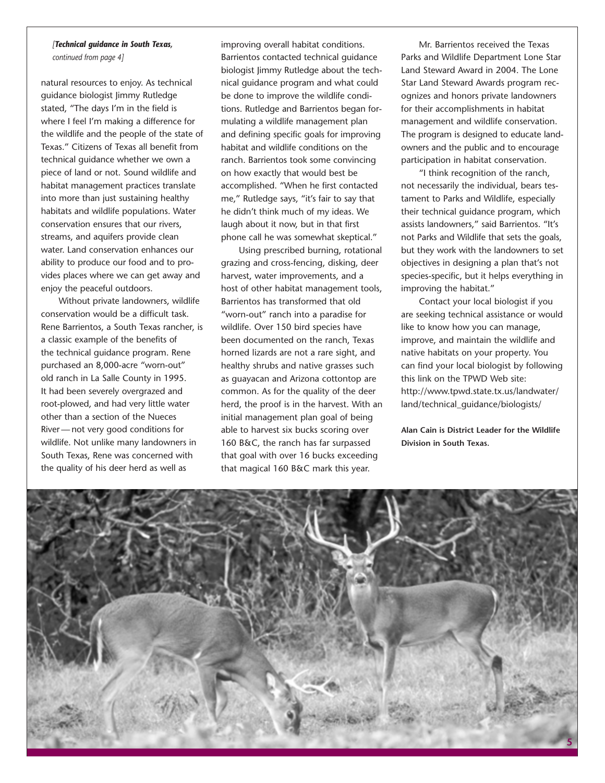#### *[Technical guidance in South Texas, continued from page 4]*

natural resources to enjoy. As technical guidance biologist Jimmy Rutledge stated, "The days I'm in the field is where I feel I'm making a difference for the wildlife and the people of the state of Texas." Citizens of Texas all benefit from technical guidance whether we own a piece of land or not. Sound wildlife and habitat management practices translate into more than just sustaining healthy habitats and wildlife populations. Water conservation ensures that our rivers, streams, and aquifers provide clean water. Land conservation enhances our ability to produce our food and to provides places where we can get away and enjoy the peaceful outdoors.

Without private landowners, wildlife conservation would be a difficult task. Rene Barrientos, a South Texas rancher, is a classic example of the benefits of the technical guidance program. Rene purchased an 8,000-acre "worn-out" old ranch in La Salle County in 1995. It had been severely overgrazed and root-plowed, and had very little water other than a section of the Nueces River — not very good conditions for wildlife. Not unlike many landowners in South Texas, Rene was concerned with the quality of his deer herd as well as

improving overall habitat conditions. Barrientos contacted technical guidance biologist Jimmy Rutledge about the technical guidance program and what could be done to improve the wildlife conditions. Rutledge and Barrientos began formulating a wildlife management plan and defining specific goals for improving habitat and wildlife conditions on the ranch. Barrientos took some convincing on how exactly that would best be accomplished. "When he first contacted me," Rutledge says, "it's fair to say that he didn't think much of my ideas. We laugh about it now, but in that first phone call he was somewhat skeptical."

Using prescribed burning, rotational grazing and cross-fencing, disking, deer harvest, water improvements, and a host of other habitat management tools, Barrientos has transformed that old "worn-out" ranch into a paradise for wildlife. Over 150 bird species have been documented on the ranch, Texas horned lizards are not a rare sight, and healthy shrubs and native grasses such as guayacan and Arizona cottontop are common. As for the quality of the deer herd, the proof is in the harvest. With an initial management plan goal of being able to harvest six bucks scoring over 160 B&C, the ranch has far surpassed that goal with over 16 bucks exceeding that magical 160 B&C mark this year.

Mr. Barrientos received the Texas Parks and Wildlife Department Lone Star Land Steward Award in 2004. The Lone Star Land Steward Awards program recognizes and honors private landowners for their accomplishments in habitat management and wildlife conservation. The program is designed to educate landowners and the public and to encourage participation in habitat conservation.

"I think recognition of the ranch, not necessarily the individual, bears testament to Parks and Wildlife, especially their technical guidance program, which assists landowners," said Barrientos. "It's not Parks and Wildlife that sets the goals, but they work with the landowners to set objectives in designing a plan that's not species-specific, but it helps everything in improving the habitat."

Contact your local biologist if you are seeking technical assistance or would like to know how you can manage, improve, and maintain the wildlife and native habitats on your property. You can find your local biologist by following this link on the TPWD Web site: http://www.tpwd.state.tx.us/landwater/ land/technical\_quidance/biologists/

**Alan Cain is District Leader for the Wildlife Division in South Texas.** 

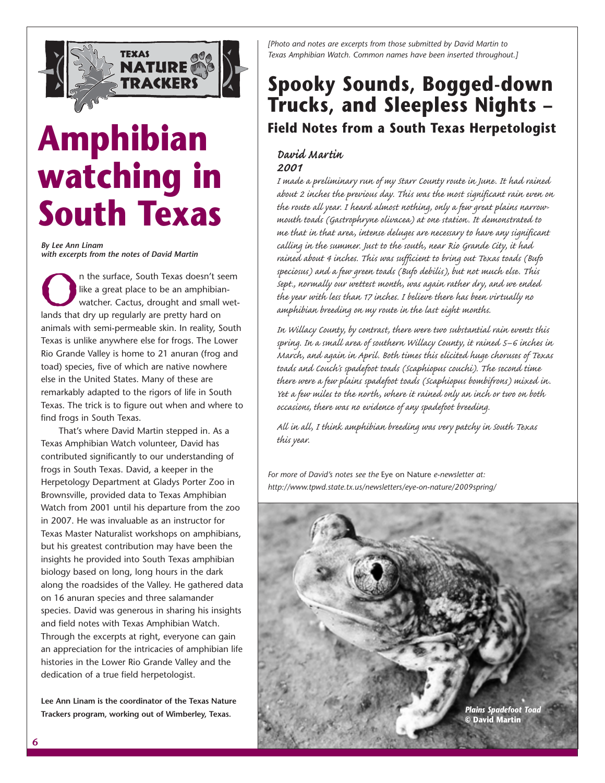

### **Amphibian watching in South Texas**

*By Lee Ann Linam with excerpts from the notes of David Martin* 

In the surface, South Texas doesn't seem<br>like a great place to be an amphibian-<br>watcher. Cactus, drought and small wet-<br>lands that dry un requiarly are pretty hard on lands that dry up regularly are pretty hard on animals with semi-permeable skin. In reality, South Texas is unlike anywhere else for frogs. The Lower Rio Grande Valley is home to 21 anuran (frog and toad) species, five of which are native nowhere else in the United States. Many of these are remarkably adapted to the rigors of life in South Texas. The trick is to figure out when and where to find frogs in South Texas.

That's where David Martin stepped in. As a Texas Amphibian Watch volunteer, David has contributed significantly to our understanding of frogs in South Texas. David, a keeper in the Herpetology Department at Gladys Porter Zoo in Brownsville, provided data to Texas Amphibian Watch from 2001 until his departure from the zoo in 2007. He was invaluable as an instructor for Texas Master Naturalist workshops on amphibians, but his greatest contribution may have been the insights he provided into South Texas amphibian biology based on long, long hours in the dark along the roadsides of the Valley. He gathered data on 16 anuran species and three salamander species. David was generous in sharing his insights and field notes with Texas Amphibian Watch. Through the excerpts at right, everyone can gain an appreciation for the intricacies of amphibian life histories in the Lower Rio Grande Valley and the dedication of a true field herpetologist.

**Lee Ann Linam is the coordinator of the Texas Nature Trackers program, working out of Wimberley, Texas.** 

*[Photo and notes are excerpts from those submitted by David Martin to Texas Amphibian Watch. Common names have been inserted throughout.]* 

### **Spooky Sounds, Bogged-down Trucks, and Sleepless Nights – Field Notes from a South Texas Herpetologist**

#### *David Martin 2001*

*I made a preliminary run of my Starr County route in June. It had rained about 2 inches the previous day. This was the most significant rain even on the route all year. I heard almost nothing, only a few great plains narrowmouth toads (Gastrophryne olivacea) at one station. It demonstrated to me that in that area, intense deluges are necessary to have any significant calling in the summer. Just to the south, near Rio Grande City, it had rained about 4 inches. This was sufficient to bring out Texas toads (Bufo speciosus) and a few green toads (Bufo debilis), but not much else. This Sept., normally our wettest month, was again rather dry, and we ended the year with less than 17 inches. I believe there has been virtually no amphibian breeding on my route in the last eight months.* 

*In Willacy County, by contrast, there were two substantial rain events this spring. In a small area of southern Willacy County, it rained 5–6 inches in March, and again in April. Both times this elicited huge choruses of Texas toads and Couch's spadefoot toads (Scaphiopus couchi). The second time there were a few plains spadefoot toads (Scaphiopus bombifrons) mixed in. Yet a few miles to the north, where it rained only an inch or two on both occasions, there was no evidence of any spadefoot breeding.* 

*All in all, I think amphibian breeding was very patchy in South Texas this year.* 

*For more of David's notes see the* Eye on Nature *e-newsletter at: http://www.tpwd.state.tx.us/newsletters/eye-on-nature/2009spring/* 

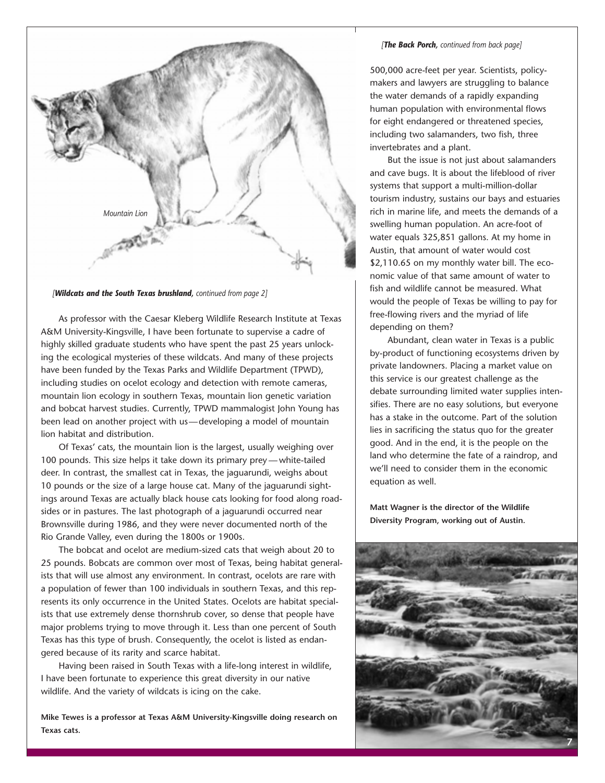

#### *[Wildcats and the South Texas brushland, continued from page 2]*

As professor with the Caesar Kleberg Wildlife Research Institute at Texas A&M University-Kingsville, I have been fortunate to supervise a cadre of highly skilled graduate students who have spent the past 25 years unlocking the ecological mysteries of these wildcats. And many of these projects have been funded by the Texas Parks and Wildlife Department (TPWD), including studies on ocelot ecology and detection with remote cameras, mountain lion ecology in southern Texas, mountain lion genetic variation and bobcat harvest studies. Currently, TPWD mammalogist John Young has been lead on another project with us—developing a model of mountain lion habitat and distribution.

Of Texas' cats, the mountain lion is the largest, usually weighing over 100 pounds. This size helps it take down its primary prey — white-tailed deer. In contrast, the smallest cat in Texas, the jaguarundi, weighs about 10 pounds or the size of a large house cat. Many of the jaguarundi sightings around Texas are actually black house cats looking for food along roadsides or in pastures. The last photograph of a jaguarundi occurred near Brownsville during 1986, and they were never documented north of the Rio Grande Valley, even during the 1800s or 1900s.

The bobcat and ocelot are medium-sized cats that weigh about 20 to 25 pounds. Bobcats are common over most of Texas, being habitat generalists that will use almost any environment. In contrast, ocelots are rare with a population of fewer than 100 individuals in southern Texas, and this represents its only occurrence in the United States. Ocelots are habitat specialists that use extremely dense thornshrub cover, so dense that people have major problems trying to move through it. Less than one percent of South Texas has this type of brush. Consequently, the ocelot is listed as endangered because of its rarity and scarce habitat.

Having been raised in South Texas with a life-long interest in wildlife, I have been fortunate to experience this great diversity in our native wildlife. And the variety of wildcats is icing on the cake.

**Mike Tewes is a professor at Texas A&M University-Kingsville doing research on Texas cats.** 

#### *[The Back Porch, continued from back page]*

500,000 acre-feet per year. Scientists, policymakers and lawyers are struggling to balance the water demands of a rapidly expanding human population with environmental flows for eight endangered or threatened species, including two salamanders, two fish, three invertebrates and a plant.

But the issue is not just about salamanders and cave bugs. It is about the lifeblood of river systems that support a multi-million-dollar tourism industry, sustains our bays and estuaries rich in marine life, and meets the demands of a swelling human population. An acre-foot of water equals 325,851 gallons. At my home in Austin, that amount of water would cost \$2,110.65 on my monthly water bill. The economic value of that same amount of water to fish and wildlife cannot be measured. What would the people of Texas be willing to pay for free-flowing rivers and the myriad of life depending on them?

Abundant, clean water in Texas is a public by-product of functioning ecosystems driven by private landowners. Placing a market value on this service is our greatest challenge as the debate surrounding limited water supplies intensifies. There are no easy solutions, but everyone has a stake in the outcome. Part of the solution lies in sacrificing the status quo for the greater good. And in the end, it is the people on the land who determine the fate of a raindrop, and we'll need to consider them in the economic equation as well.

**Matt Wagner is the director of the Wildlife Diversity Program, working out of Austin.**